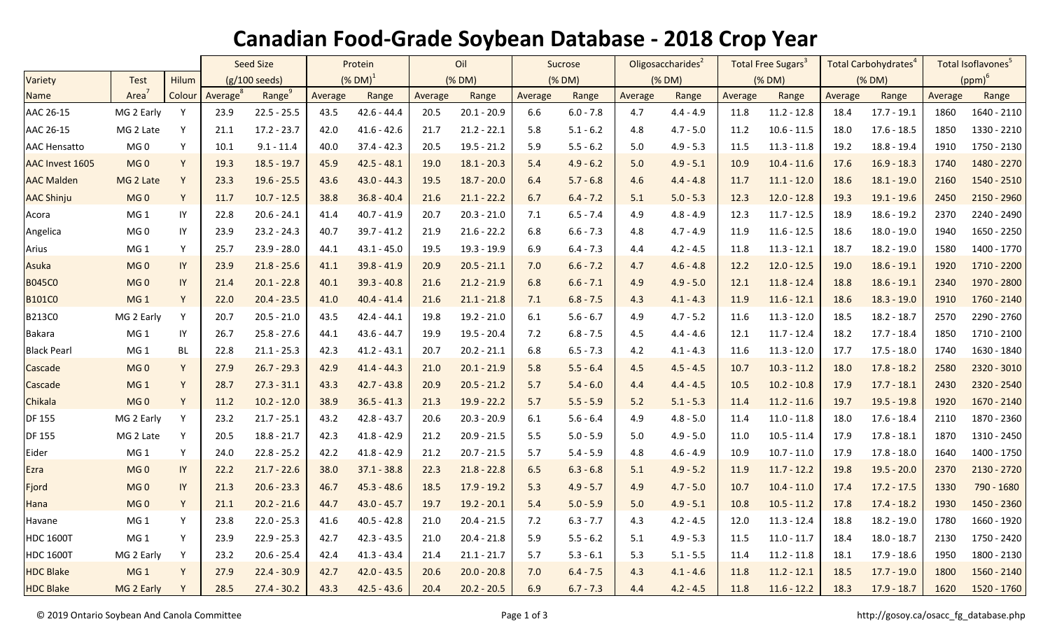## **Canadian Food-Grade Soybean Database - 2018 Crop Year**

|                     |                   |        | <b>Seed Size</b>        |                    | Protein                |               | Oil     |               | Sucrose |             | Oligosaccharides <sup>2</sup> |             | Total Free Sugars <sup>3</sup> |               | Total Carbohydrates |               | Total Isoflavones <sup>5</sup> |             |
|---------------------|-------------------|--------|-------------------------|--------------------|------------------------|---------------|---------|---------------|---------|-------------|-------------------------------|-------------|--------------------------------|---------------|---------------------|---------------|--------------------------------|-------------|
| Variety             | <b>Test</b>       | Hilum  | $(g/100 \text{ seeds})$ |                    | $(\%$ DM) <sup>1</sup> |               | (% DM)  |               | (% DM)  |             | (% DM)                        |             | (% DM)                         |               | (% DM)              |               | $(ppm)^6$                      |             |
| <b>Name</b>         | Area <sup>7</sup> | Colour | Average <sup>8</sup>    | Range <sup>9</sup> | Average                | Range         | Average | Range         | Average | Range       | Average                       | Range       | Average                        | Range         | Average             | Range         | Average                        | Range       |
| AAC 26-15           | MG 2 Early        | Y      | 23.9                    | $22.5 - 25.5$      | 43.5                   | $42.6 - 44.4$ | 20.5    | $20.1 - 20.9$ | 6.6     | $6.0 - 7.8$ | 4.7                           | $4.4 - 4.9$ | 11.8                           | $11.2 - 12.8$ | 18.4                | $17.7 - 19.1$ | 1860                           | 1640 - 2110 |
| AAC 26-15           | MG 2 Late         | Y      | 21.1                    | $17.2 - 23.7$      | 42.0                   | $41.6 - 42.6$ | 21.7    | $21.2 - 22.1$ | 5.8     | $5.1 - 6.2$ | 4.8                           | $4.7 - 5.0$ | 11.2                           | $10.6 - 11.5$ | 18.0                | $17.6 - 18.5$ | 1850                           | 1330 - 2210 |
| <b>AAC Hensatto</b> | MG <sub>0</sub>   | Υ      | 10.1                    | $9.1 - 11.4$       | 40.0                   | $37.4 - 42.3$ | 20.5    | $19.5 - 21.2$ | 5.9     | $5.5 - 6.2$ | 5.0                           | $4.9 - 5.3$ | 11.5                           | $11.3 - 11.8$ | 19.2                | $18.8 - 19.4$ | 1910                           | 1750 - 2130 |
| AAC Invest 1605     | MG <sub>0</sub>   | Y      | 19.3                    | $18.5 - 19.7$      | 45.9                   | $42.5 - 48.1$ | 19.0    | $18.1 - 20.3$ | 5.4     | $4.9 - 6.2$ | 5.0                           | $4.9 - 5.1$ | 10.9                           | $10.4 - 11.6$ | 17.6                | $16.9 - 18.3$ | 1740                           | 1480 - 2270 |
| <b>AAC Malden</b>   | MG 2 Late         | Y      | 23.3                    | $19.6 - 25.5$      | 43.6                   | $43.0 - 44.3$ | 19.5    | $18.7 - 20.0$ | 6.4     | $5.7 - 6.8$ | 4.6                           | $4.4 - 4.8$ | 11.7                           | $11.1 - 12.0$ | 18.6                | $18.1 - 19.0$ | 2160                           | 1540 - 2510 |
| <b>AAC Shinju</b>   | MG <sub>0</sub>   | Y      | 11.7                    | $10.7 - 12.5$      | 38.8                   | $36.8 - 40.4$ | 21.6    | $21.1 - 22.2$ | 6.7     | $6.4 - 7.2$ | 5.1                           | $5.0 - 5.3$ | 12.3                           | $12.0 - 12.8$ | 19.3                | $19.1 - 19.6$ | 2450                           | 2150 - 2960 |
| Acora               | MG <sub>1</sub>   | IY     | 22.8                    | $20.6 - 24.1$      | 41.4                   | $40.7 - 41.9$ | 20.7    | $20.3 - 21.0$ | 7.1     | $6.5 - 7.4$ | 4.9                           | $4.8 - 4.9$ | 12.3                           | $11.7 - 12.5$ | 18.9                | $18.6 - 19.2$ | 2370                           | 2240 - 2490 |
| Angelica            | MG <sub>0</sub>   | IY     | 23.9                    | $23.2 - 24.3$      | 40.7                   | $39.7 - 41.2$ | 21.9    | $21.6 - 22.2$ | 6.8     | $6.6 - 7.3$ | 4.8                           | $4.7 - 4.9$ | 11.9                           | $11.6 - 12.5$ | 18.6                | $18.0 - 19.0$ | 1940                           | 1650 - 2250 |
| Arius               | MG <sub>1</sub>   | Y      | 25.7                    | $23.9 - 28.0$      | 44.1                   | $43.1 - 45.0$ | 19.5    | 19.3 - 19.9   | 6.9     | $6.4 - 7.3$ | 4.4                           | $4.2 - 4.5$ | 11.8                           | $11.3 - 12.1$ | 18.7                | $18.2 - 19.0$ | 1580                           | 1400 - 1770 |
| Asuka               | MG <sub>0</sub>   | IY     | 23.9                    | $21.8 - 25.6$      | 41.1                   | $39.8 - 41.9$ | 20.9    | $20.5 - 21.1$ | 7.0     | $6.6 - 7.2$ | 4.7                           | $4.6 - 4.8$ | 12.2                           | $12.0 - 12.5$ | 19.0                | $18.6 - 19.1$ | 1920                           | 1710 - 2200 |
| <b>B045C0</b>       | MG <sub>0</sub>   | IY     | 21.4                    | $20.1 - 22.8$      | 40.1                   | $39.3 - 40.8$ | 21.6    | $21.2 - 21.9$ | 6.8     | $6.6 - 7.1$ | 4.9                           | $4.9 - 5.0$ | 12.1                           | $11.8 - 12.4$ | 18.8                | $18.6 - 19.1$ | 2340                           | 1970 - 2800 |
| <b>B101C0</b>       | MG <sub>1</sub>   | Y      | 22.0                    | $20.4 - 23.5$      | 41.0                   | $40.4 - 41.4$ | 21.6    | $21.1 - 21.8$ | 7.1     | $6.8 - 7.5$ | 4.3                           | $4.1 - 4.3$ | 11.9                           | $11.6 - 12.1$ | 18.6                | $18.3 - 19.0$ | 1910                           | 1760 - 2140 |
| B213C0              | MG 2 Early        | Y      | 20.7                    | $20.5 - 21.0$      | 43.5                   | $42.4 - 44.1$ | 19.8    | $19.2 - 21.0$ | 6.1     | $5.6 - 6.7$ | 4.9                           | $4.7 - 5.2$ | 11.6                           | $11.3 - 12.0$ | 18.5                | $18.2 - 18.7$ | 2570                           | 2290 - 2760 |
| <b>Bakara</b>       | MG <sub>1</sub>   | IY     | 26.7                    | $25.8 - 27.6$      | 44.1                   | $43.6 - 44.7$ | 19.9    | $19.5 - 20.4$ | 7.2     | $6.8 - 7.5$ | 4.5                           | $4.4 - 4.6$ | 12.1                           | $11.7 - 12.4$ | 18.2                | $17.7 - 18.4$ | 1850                           | 1710 - 2100 |
| <b>Black Pearl</b>  | MG <sub>1</sub>   | BL     | 22.8                    | $21.1 - 25.3$      | 42.3                   | $41.2 - 43.1$ | 20.7    | $20.2 - 21.1$ | 6.8     | $6.5 - 7.3$ | 4.2                           | $4.1 - 4.3$ | 11.6                           | $11.3 - 12.0$ | 17.7                | $17.5 - 18.0$ | 1740                           | 1630 - 1840 |
| Cascade             | MG <sub>0</sub>   | Y      | 27.9                    | $26.7 - 29.3$      | 42.9                   | $41.4 - 44.3$ | 21.0    | $20.1 - 21.9$ | 5.8     | $5.5 - 6.4$ | 4.5                           | $4.5 - 4.5$ | 10.7                           | $10.3 - 11.2$ | 18.0                | $17.8 - 18.2$ | 2580                           | 2320 - 3010 |
| Cascade             | MG <sub>1</sub>   | Y      | 28.7                    | $27.3 - 31.1$      | 43.3                   | $42.7 - 43.8$ | 20.9    | $20.5 - 21.2$ | 5.7     | $5.4 - 6.0$ | 4.4                           | $4.4 - 4.5$ | 10.5                           | $10.2 - 10.8$ | 17.9                | $17.7 - 18.1$ | 2430                           | 2320 - 2540 |
| Chikala             | MG <sub>0</sub>   | Y      | 11.2                    | $10.2 - 12.0$      | 38.9                   | $36.5 - 41.3$ | 21.3    | $19.9 - 22.2$ | 5.7     | $5.5 - 5.9$ | 5.2                           | $5.1 - 5.3$ | 11.4                           | $11.2 - 11.6$ | 19.7                | $19.5 - 19.8$ | 1920                           | 1670 - 2140 |
| <b>DF 155</b>       | MG 2 Early        | Υ      | 23.2                    | $21.7 - 25.1$      | 43.2                   | $42.8 - 43.7$ | 20.6    | $20.3 - 20.9$ | 6.1     | $5.6 - 6.4$ | 4.9                           | $4.8 - 5.0$ | 11.4                           | $11.0 - 11.8$ | 18.0                | $17.6 - 18.4$ | 2110                           | 1870 - 2360 |
| <b>DF 155</b>       | MG 2 Late         | Y      | 20.5                    | $18.8 - 21.7$      | 42.3                   | $41.8 - 42.9$ | 21.2    | $20.9 - 21.5$ | 5.5     | $5.0 - 5.9$ | 5.0                           | $4.9 - 5.0$ | 11.0                           | $10.5 - 11.4$ | 17.9                | $17.8 - 18.1$ | 1870                           | 1310 - 2450 |
| Eider               | MG <sub>1</sub>   | Y      | 24.0                    | $22.8 - 25.2$      | 42.2                   | $41.8 - 42.9$ | 21.2    | $20.7 - 21.5$ | 5.7     | $5.4 - 5.9$ | 4.8                           | $4.6 - 4.9$ | 10.9                           | $10.7 - 11.0$ | 17.9                | $17.8 - 18.0$ | 1640                           | 1400 - 1750 |
| Ezra                | MG <sub>0</sub>   | IY     | 22.2                    | $21.7 - 22.6$      | 38.0                   | $37.1 - 38.8$ | 22.3    | $21.8 - 22.8$ | 6.5     | $6.3 - 6.8$ | 5.1                           | $4.9 - 5.2$ | 11.9                           | $11.7 - 12.2$ | 19.8                | $19.5 - 20.0$ | 2370                           | 2130 - 2720 |
| Fjord               | MG <sub>0</sub>   | IY     | 21.3                    | $20.6 - 23.3$      | 46.7                   | $45.3 - 48.6$ | 18.5    | $17.9 - 19.2$ | 5.3     | $4.9 - 5.7$ | 4.9                           | $4.7 - 5.0$ | 10.7                           | $10.4 - 11.0$ | 17.4                | $17.2 - 17.5$ | 1330                           | 790 - 1680  |
| Hana                | MG <sub>0</sub>   | Y      | 21.1                    | $20.2 - 21.6$      | 44.7                   | $43.0 - 45.7$ | 19.7    | $19.2 - 20.1$ | 5.4     | $5.0 - 5.9$ | 5.0                           | $4.9 - 5.1$ | 10.8                           | $10.5 - 11.2$ | 17.8                | $17.4 - 18.2$ | 1930                           | 1450 - 2360 |
| Havane              | MG <sub>1</sub>   | Y      | 23.8                    | $22.0 - 25.3$      | 41.6                   | $40.5 - 42.8$ | 21.0    | $20.4 - 21.5$ | 7.2     | $6.3 - 7.7$ | 4.3                           | $4.2 - 4.5$ | 12.0                           | $11.3 - 12.4$ | 18.8                | $18.2 - 19.0$ | 1780                           | 1660 - 1920 |
| <b>HDC 1600T</b>    | MG <sub>1</sub>   | Y      | 23.9                    | $22.9 - 25.3$      | 42.7                   | $42.3 - 43.5$ | 21.0    | $20.4 - 21.8$ | 5.9     | $5.5 - 6.2$ | 5.1                           | $4.9 - 5.3$ | 11.5                           | $11.0 - 11.7$ | 18.4                | $18.0 - 18.7$ | 2130                           | 1750 - 2420 |
| <b>HDC 1600T</b>    | MG 2 Early        | Y      | 23.2                    | $20.6 - 25.4$      | 42.4                   | $41.3 - 43.4$ | 21.4    | $21.1 - 21.7$ | 5.7     | $5.3 - 6.1$ | 5.3                           | $5.1 - 5.5$ | 11.4                           | $11.2 - 11.8$ | 18.1                | $17.9 - 18.6$ | 1950                           | 1800 - 2130 |
| <b>HDC Blake</b>    | MG <sub>1</sub>   | Y      | 27.9                    | $22.4 - 30.9$      | 42.7                   | $42.0 - 43.5$ | 20.6    | $20.0 - 20.8$ | 7.0     | $6.4 - 7.5$ | 4.3                           | $4.1 - 4.6$ | 11.8                           | $11.2 - 12.1$ | 18.5                | $17.7 - 19.0$ | 1800                           | 1560 - 2140 |
| <b>HDC Blake</b>    | MG 2 Early        | Y      | 28.5                    | $27.4 - 30.2$      | 43.3                   | $42.5 - 43.6$ | 20.4    | $20.2 - 20.5$ | 6.9     | $6.7 - 7.3$ | 4.4                           | $4.2 - 4.5$ | 11.8                           | $11.6 - 12.2$ | 18.3                | $17.9 - 18.7$ | 1620                           | 1520 - 1760 |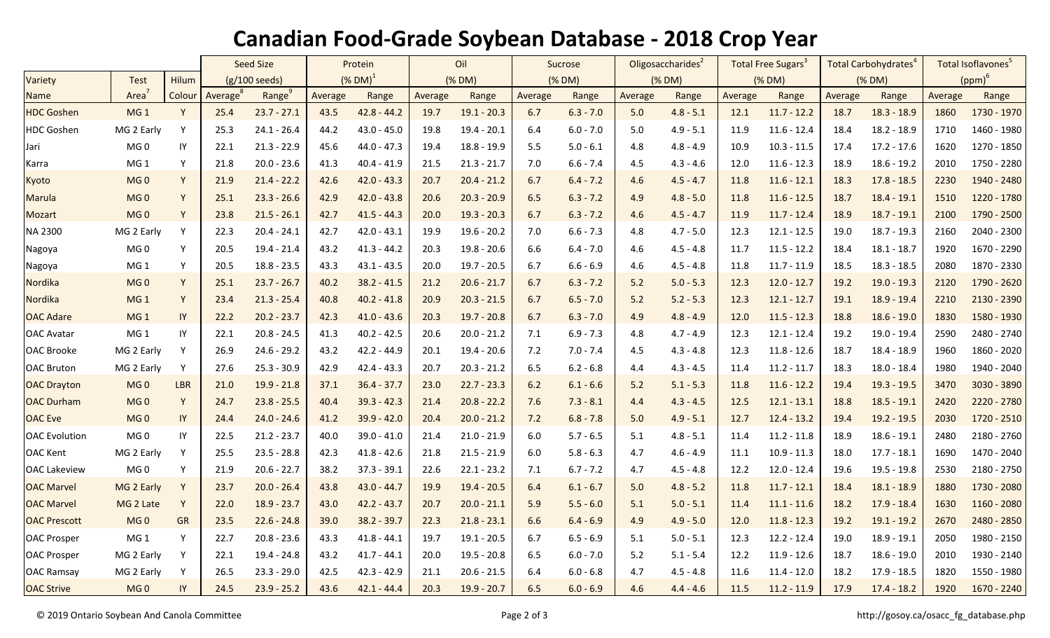## **Canadian Food-Grade Soybean Database - 2018 Crop Year**

|                      |                   |            | <b>Seed Size</b>        |                    | Protein       |               | Oil     |               | Sucrose |             | Oligosaccharides <sup>2</sup> |             | Total Free Sugars <sup>3</sup> |               | Total Carbohydrates |               | Total Isoflavones <sup>5</sup> |             |  |
|----------------------|-------------------|------------|-------------------------|--------------------|---------------|---------------|---------|---------------|---------|-------------|-------------------------------|-------------|--------------------------------|---------------|---------------------|---------------|--------------------------------|-------------|--|
| Variety              | <b>Test</b>       | Hilum      | $(g/100 \text{ seeds})$ |                    | $(X$ DM $)^1$ |               | (% DM)  |               | (% DM)  |             | (% DM)                        |             | (% DM)                         |               | (% DM)              |               | $(ppm)^6$                      |             |  |
| Name                 | Area <sup>7</sup> | Colour     | Average <sup>8</sup>    | Range <sup>9</sup> | Average       | Range         | Average | Range         | Average | Range       | Average                       | Range       | Average                        | Range         | Average             | Range         | Average                        | Range       |  |
| <b>HDC Goshen</b>    | MG <sub>1</sub>   | Y          | 25.4                    | $23.7 - 27.1$      | 43.5          | $42.8 - 44.2$ | 19.7    | $19.1 - 20.3$ | 6.7     | $6.3 - 7.0$ | 5.0                           | $4.8 - 5.1$ | 12.1                           | $11.7 - 12.2$ | 18.7                | $18.3 - 18.9$ | 1860                           | 1730 - 1970 |  |
| <b>HDC Goshen</b>    | MG 2 Early        | Υ          | 25.3                    | $24.1 - 26.4$      | 44.2          | $43.0 - 45.0$ | 19.8    | $19.4 - 20.1$ | 6.4     | $6.0 - 7.0$ | 5.0                           | $4.9 - 5.1$ | 11.9                           | $11.6 - 12.4$ | 18.4                | 18.2 - 18.9   | 1710                           | 1460 - 1980 |  |
| Jari                 | MG <sub>0</sub>   | IY         | 22.1                    | $21.3 - 22.9$      | 45.6          | $44.0 - 47.3$ | 19.4    | $18.8 - 19.9$ | 5.5     | $5.0 - 6.1$ | 4.8                           | $4.8 - 4.9$ | 10.9                           | $10.3 - 11.5$ | 17.4                | $17.2 - 17.6$ | 1620                           | 1270 - 1850 |  |
| Karra                | MG <sub>1</sub>   | Y          | 21.8                    | $20.0 - 23.6$      | 41.3          | $40.4 - 41.9$ | 21.5    | $21.3 - 21.7$ | 7.0     | $6.6 - 7.4$ | 4.5                           | $4.3 - 4.6$ | 12.0                           | $11.6 - 12.3$ | 18.9                | $18.6 - 19.2$ | 2010                           | 1750 - 2280 |  |
| Kyoto                | MG <sub>0</sub>   | Y          | 21.9                    | $21.4 - 22.2$      | 42.6          | $42.0 - 43.3$ | 20.7    | $20.4 - 21.2$ | 6.7     | $6.4 - 7.2$ | 4.6                           | $4.5 - 4.7$ | 11.8                           | $11.6 - 12.1$ | 18.3                | $17.8 - 18.5$ | 2230                           | 1940 - 2480 |  |
| <b>Marula</b>        | MG <sub>0</sub>   | Y          | 25.1                    | $23.3 - 26.6$      | 42.9          | $42.0 - 43.8$ | 20.6    | $20.3 - 20.9$ | 6.5     | $6.3 - 7.2$ | 4.9                           | $4.8 - 5.0$ | 11.8                           | $11.6 - 12.5$ | 18.7                | $18.4 - 19.1$ | 1510                           | 1220 - 1780 |  |
| Mozart               | MG <sub>0</sub>   | Y          | 23.8                    | $21.5 - 26.1$      | 42.7          | $41.5 - 44.3$ | 20.0    | $19.3 - 20.3$ | 6.7     | $6.3 - 7.2$ | 4.6                           | $4.5 - 4.7$ | 11.9                           | $11.7 - 12.4$ | 18.9                | $18.7 - 19.1$ | 2100                           | 1790 - 2500 |  |
| NA 2300              | MG 2 Early        | Υ          | 22.3                    | $20.4 - 24.1$      | 42.7          | $42.0 - 43.1$ | 19.9    | $19.6 - 20.2$ | 7.0     | $6.6 - 7.3$ | 4.8                           | $4.7 - 5.0$ | 12.3                           | $12.1 - 12.5$ | 19.0                | $18.7 - 19.3$ | 2160                           | 2040 - 2300 |  |
| Nagoya               | MG <sub>0</sub>   | Y          | 20.5                    | $19.4 - 21.4$      | 43.2          | $41.3 - 44.2$ | 20.3    | $19.8 - 20.6$ | 6.6     | $6.4 - 7.0$ | 4.6                           | $4.5 - 4.8$ | 11.7                           | $11.5 - 12.2$ | 18.4                | $18.1 - 18.7$ | 1920                           | 1670 - 2290 |  |
| Nagoya               | MG <sub>1</sub>   | Υ          | 20.5                    | $18.8 - 23.5$      | 43.3          | $43.1 - 43.5$ | 20.0    | $19.7 - 20.5$ | 6.7     | $6.6 - 6.9$ | 4.6                           | $4.5 - 4.8$ | 11.8                           | $11.7 - 11.9$ | 18.5                | $18.3 - 18.5$ | 2080                           | 1870 - 2330 |  |
| Nordika              | MG <sub>0</sub>   | Y.         | 25.1                    | $23.7 - 26.7$      | 40.2          | $38.2 - 41.5$ | 21.2    | $20.6 - 21.7$ | 6.7     | $6.3 - 7.2$ | 5.2                           | $5.0 - 5.3$ | 12.3                           | $12.0 - 12.7$ | 19.2                | $19.0 - 19.3$ | 2120                           | 1790 - 2620 |  |
| Nordika              | MG <sub>1</sub>   | Y          | 23.4                    | $21.3 - 25.4$      | 40.8          | $40.2 - 41.8$ | 20.9    | $20.3 - 21.5$ | 6.7     | $6.5 - 7.0$ | 5.2                           | $5.2 - 5.3$ | 12.3                           | $12.1 - 12.7$ | 19.1                | $18.9 - 19.4$ | 2210                           | 2130 - 2390 |  |
| <b>OAC Adare</b>     | MG <sub>1</sub>   | IY         | 22.2                    | $20.2 - 23.7$      | 42.3          | $41.0 - 43.6$ | 20.3    | $19.7 - 20.8$ | 6.7     | $6.3 - 7.0$ | 4.9                           | $4.8 - 4.9$ | 12.0                           | $11.5 - 12.3$ | 18.8                | $18.6 - 19.0$ | 1830                           | 1580 - 1930 |  |
| <b>OAC Avatar</b>    | MG <sub>1</sub>   | IY         | 22.1                    | $20.8 - 24.5$      | 41.3          | $40.2 - 42.5$ | 20.6    | $20.0 - 21.2$ | 7.1     | $6.9 - 7.3$ | 4.8                           | $4.7 - 4.9$ | 12.3                           | $12.1 - 12.4$ | 19.2                | 19.0 - 19.4   | 2590                           | 2480 - 2740 |  |
| <b>OAC Brooke</b>    | MG 2 Early        | Y          | 26.9                    | $24.6 - 29.2$      | 43.2          | $42.2 - 44.9$ | 20.1    | 19.4 - 20.6   | 7.2     | $7.0 - 7.4$ | 4.5                           | $4.3 - 4.8$ | 12.3                           | $11.8 - 12.6$ | 18.7                | 18.4 - 18.9   | 1960                           | 1860 - 2020 |  |
| <b>OAC Bruton</b>    | MG 2 Early        | Y          | 27.6                    | $25.3 - 30.9$      | 42.9          | $42.4 - 43.3$ | 20.7    | $20.3 - 21.2$ | 6.5     | $6.2 - 6.8$ | 4.4                           | $4.3 - 4.5$ | 11.4                           | $11.2 - 11.7$ | 18.3                | 18.0 - 18.4   | 1980                           | 1940 - 2040 |  |
| <b>OAC Drayton</b>   | MG <sub>0</sub>   | <b>LBR</b> | 21.0                    | $19.9 - 21.8$      | 37.1          | $36.4 - 37.7$ | 23.0    | $22.7 - 23.3$ | 6.2     | $6.1 - 6.6$ | 5.2                           | $5.1 - 5.3$ | 11.8                           | $11.6 - 12.2$ | 19.4                | $19.3 - 19.5$ | 3470                           | 3030 - 3890 |  |
| <b>OAC Durham</b>    | MG <sub>0</sub>   | Y          | 24.7                    | $23.8 - 25.5$      | 40.4          | $39.3 - 42.3$ | 21.4    | $20.8 - 22.2$ | 7.6     | $7.3 - 8.1$ | 4.4                           | $4.3 - 4.5$ | 12.5                           | $12.1 - 13.1$ | 18.8                | $18.5 - 19.1$ | 2420                           | 2220 - 2780 |  |
| <b>OAC</b> Eve       | MG <sub>0</sub>   | IY         | 24.4                    | $24.0 - 24.6$      | 41.2          | $39.9 - 42.0$ | 20.4    | $20.0 - 21.2$ | 7.2     | $6.8 - 7.8$ | 5.0                           | $4.9 - 5.1$ | 12.7                           | $12.4 - 13.2$ | 19.4                | $19.2 - 19.5$ | 2030                           | 1720 - 2510 |  |
| <b>OAC</b> Evolution | MG <sub>0</sub>   | IY         | 22.5                    | $21.2 - 23.7$      | 40.0          | $39.0 - 41.0$ | 21.4    | $21.0 - 21.9$ | 6.0     | $5.7 - 6.5$ | 5.1                           | $4.8 - 5.1$ | 11.4                           | $11.2 - 11.8$ | 18.9                | $18.6 - 19.1$ | 2480                           | 2180 - 2760 |  |
| <b>OAC Kent</b>      | MG 2 Early        | Y          | 25.5                    | $23.5 - 28.8$      | 42.3          | $41.8 - 42.6$ | 21.8    | $21.5 - 21.9$ | 6.0     | $5.8 - 6.3$ | 4.7                           | $4.6 - 4.9$ | 11.1                           | $10.9 - 11.3$ | 18.0                | $17.7 - 18.1$ | 1690                           | 1470 - 2040 |  |
| <b>OAC Lakeview</b>  | MG <sub>0</sub>   | Y          | 21.9                    | $20.6 - 22.7$      | 38.2          | $37.3 - 39.1$ | 22.6    | $22.1 - 23.2$ | 7.1     | $6.7 - 7.2$ | 4.7                           | $4.5 - 4.8$ | 12.2                           | $12.0 - 12.4$ | 19.6                | $19.5 - 19.8$ | 2530                           | 2180 - 2750 |  |
| <b>OAC Marvel</b>    | MG 2 Early        | Y          | 23.7                    | $20.0 - 26.4$      | 43.8          | $43.0 - 44.7$ | 19.9    | $19.4 - 20.5$ | 6.4     | $6.1 - 6.7$ | 5.0                           | $4.8 - 5.2$ | 11.8                           | $11.7 - 12.1$ | 18.4                | $18.1 - 18.9$ | 1880                           | 1730 - 2080 |  |
| <b>OAC Marvel</b>    | MG 2 Late         | Y          | 22.0                    | $18.9 - 23.7$      | 43.0          | $42.2 - 43.7$ | 20.7    | $20.0 - 21.1$ | 5.9     | $5.5 - 6.0$ | 5.1                           | $5.0 - 5.1$ | 11.4                           | $11.1 - 11.6$ | 18.2                | $17.9 - 18.4$ | 1630                           | 1160 - 2080 |  |
| <b>OAC Prescott</b>  | MG <sub>0</sub>   | GR         | 23.5                    | $22.6 - 24.8$      | 39.0          | $38.2 - 39.7$ | 22.3    | $21.8 - 23.1$ | 6.6     | $6.4 - 6.9$ | 4.9                           | $4.9 - 5.0$ | 12.0                           | $11.8 - 12.3$ | 19.2                | $19.1 - 19.2$ | 2670                           | 2480 - 2850 |  |
| <b>OAC Prosper</b>   | $MG_1$            | Y          | 22.7                    | $20.8 - 23.6$      | 43.3          | $41.8 - 44.1$ | 19.7    | $19.1 - 20.5$ | 6.7     | $6.5 - 6.9$ | 5.1                           | $5.0 - 5.1$ | 12.3                           | $12.2 - 12.4$ | 19.0                | $18.9 - 19.1$ | 2050                           | 1980 - 2150 |  |
| <b>OAC Prosper</b>   | MG 2 Early        | Y          | 22.1                    | 19.4 - 24.8        | 43.2          | $41.7 - 44.1$ | 20.0    | $19.5 - 20.8$ | 6.5     | $6.0 - 7.0$ | 5.2                           | $5.1 - 5.4$ | 12.2                           | $11.9 - 12.6$ | 18.7                | $18.6 - 19.0$ | 2010                           | 1930 - 2140 |  |
| <b>OAC Ramsay</b>    | MG 2 Early        | Y          | 26.5                    | $23.3 - 29.0$      | 42.5          | $42.3 - 42.9$ | 21.1    | $20.6 - 21.5$ | 6.4     | $6.0 - 6.8$ | 4.7                           | $4.5 - 4.8$ | 11.6                           | $11.4 - 12.0$ | 18.2                | $17.9 - 18.5$ | 1820                           | 1550 - 1980 |  |
| <b>OAC Strive</b>    | MG <sub>0</sub>   | IY         | 24.5                    | $23.9 - 25.2$      | 43.6          | $42.1 - 44.4$ | 20.3    | $19.9 - 20.7$ | 6.5     | $6.0 - 6.9$ | 4.6                           | $4.4 - 4.6$ | 11.5                           | $11.2 - 11.9$ | 17.9                | $17.4 - 18.2$ | 1920                           | 1670 - 2240 |  |